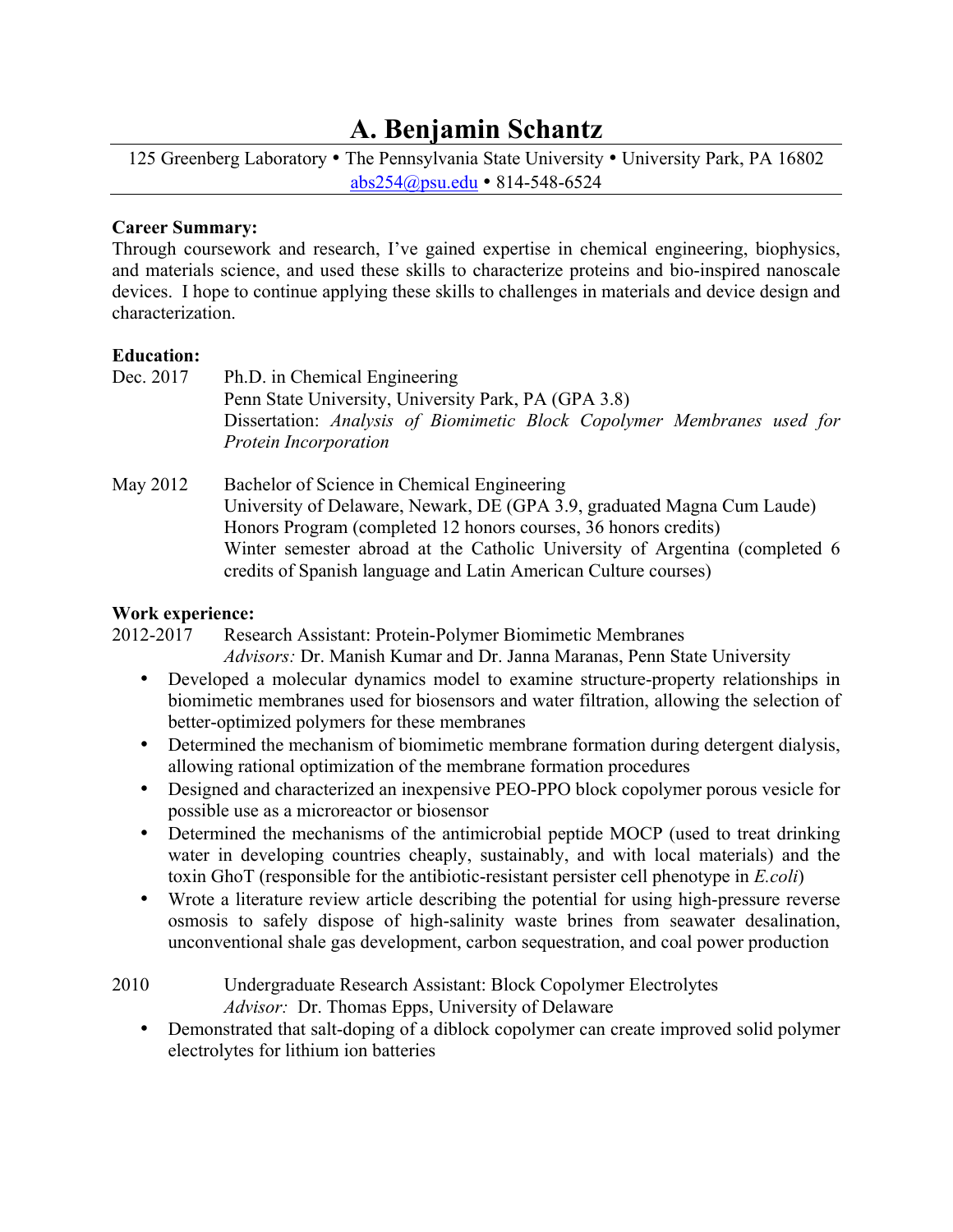# **A. Benjamin Schantz**

125 Greenberg Laboratory • The Pennsylvania State University • University Park, PA 16802 abs254@psu.edu • 814-548-6524

### **Career Summary:**

Through coursework and research, I've gained expertise in chemical engineering, biophysics, and materials science, and used these skills to characterize proteins and bio-inspired nanoscale devices. I hope to continue applying these skills to challenges in materials and device design and characterization.

# **Education:**

| Dec. 2017 | Ph.D. in Chemical Engineering                                               |
|-----------|-----------------------------------------------------------------------------|
|           | Penn State University, University Park, PA (GPA 3.8)                        |
|           | Dissertation: Analysis of Biomimetic Block Copolymer Membranes used for     |
|           | Protein Incorporation                                                       |
| May 2012  | Bachelor of Science in Chemical Engineering                                 |
|           | University of Delaware, Newark, DE (GPA 3.9, graduated Magna Cum Laude)     |
|           | Honors Program (completed 12 honors courses, 36 honors credits)             |
|           | Winter semester abroad at the Catholic University of Argentina (completed 6 |
|           | credits of Spanish language and Latin American Culture courses)             |

## **Work experience:**

2012-2017 Research Assistant: Protein-Polymer Biomimetic Membranes *Advisors:* Dr. Manish Kumar and Dr. Janna Maranas, Penn State University

- Developed a molecular dynamics model to examine structure-property relationships in biomimetic membranes used for biosensors and water filtration, allowing the selection of better-optimized polymers for these membranes
- Determined the mechanism of biomimetic membrane formation during detergent dialysis, allowing rational optimization of the membrane formation procedures
- Designed and characterized an inexpensive PEO-PPO block copolymer porous vesicle for possible use as a microreactor or biosensor
- Determined the mechanisms of the antimicrobial peptide MOCP (used to treat drinking water in developing countries cheaply, sustainably, and with local materials) and the toxin GhoT (responsible for the antibiotic-resistant persister cell phenotype in *E.coli*)
- Wrote a literature review article describing the potential for using high-pressure reverse osmosis to safely dispose of high-salinity waste brines from seawater desalination, unconventional shale gas development, carbon sequestration, and coal power production

| 2010 | Undergraduate Research Assistant: Block Copolymer Electrolytes |
|------|----------------------------------------------------------------|
|      | <i>Advisor:</i> Dr. Thomas Epps, University of Delaware        |

• Demonstrated that salt-doping of a diblock copolymer can create improved solid polymer electrolytes for lithium ion batteries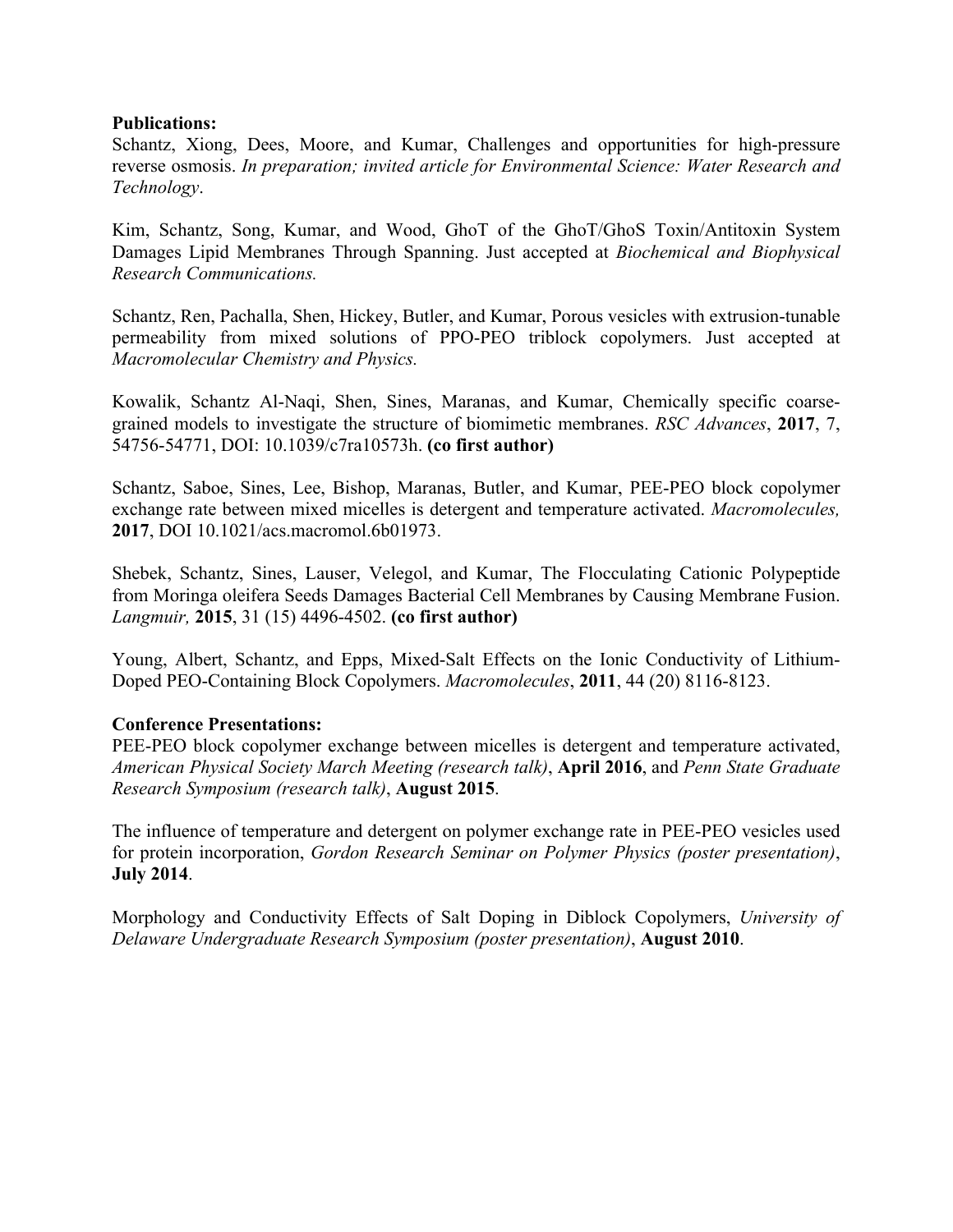#### **Publications:**

Schantz, Xiong, Dees, Moore, and Kumar, Challenges and opportunities for high-pressure reverse osmosis. *In preparation; invited article for Environmental Science: Water Research and Technology*.

Kim, Schantz, Song, Kumar, and Wood, GhoT of the GhoT/GhoS Toxin/Antitoxin System Damages Lipid Membranes Through Spanning. Just accepted at *Biochemical and Biophysical Research Communications.*

Schantz, Ren, Pachalla, Shen, Hickey, Butler, and Kumar, Porous vesicles with extrusion-tunable permeability from mixed solutions of PPO-PEO triblock copolymers. Just accepted at *Macromolecular Chemistry and Physics.*

Kowalik, Schantz Al-Naqi, Shen, Sines, Maranas, and Kumar, Chemically specific coarsegrained models to investigate the structure of biomimetic membranes. *RSC Advances*, **2017**, 7, 54756-54771, DOI: 10.1039/c7ra10573h. **(co first author)**

Schantz, Saboe, Sines, Lee, Bishop, Maranas, Butler, and Kumar, PEE-PEO block copolymer exchange rate between mixed micelles is detergent and temperature activated. *Macromolecules,* **2017**, DOI 10.1021/acs.macromol.6b01973.

Shebek, Schantz, Sines, Lauser, Velegol, and Kumar, The Flocculating Cationic Polypeptide from Moringa oleifera Seeds Damages Bacterial Cell Membranes by Causing Membrane Fusion. *Langmuir,* **2015**, 31 (15) 4496-4502. **(co first author)**

Young, Albert, Schantz, and Epps, Mixed-Salt Effects on the Ionic Conductivity of Lithium-Doped PEO-Containing Block Copolymers. *Macromolecules*, **2011**, 44 (20) 8116-8123.

#### **Conference Presentations:**

PEE-PEO block copolymer exchange between micelles is detergent and temperature activated, *American Physical Society March Meeting (research talk)*, **April 2016**, and *Penn State Graduate Research Symposium (research talk)*, **August 2015**.

The influence of temperature and detergent on polymer exchange rate in PEE-PEO vesicles used for protein incorporation, *Gordon Research Seminar on Polymer Physics (poster presentation)*, **July 2014**.

Morphology and Conductivity Effects of Salt Doping in Diblock Copolymers, *University of Delaware Undergraduate Research Symposium (poster presentation)*, **August 2010**.